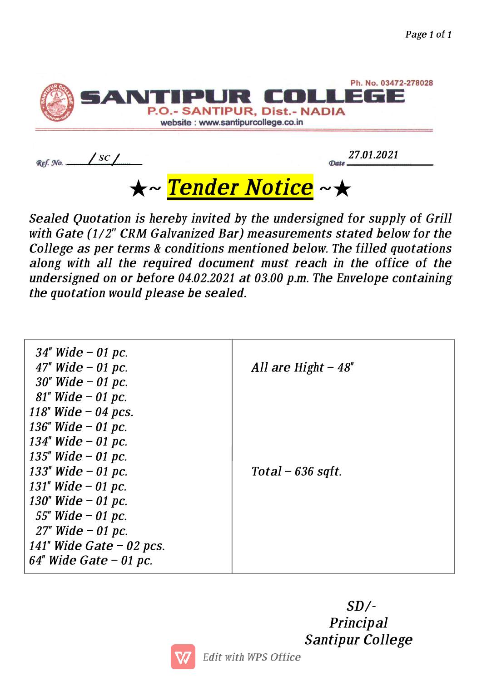

★~ Tender Notice ~★

Ref. No. ...

Sealed Quotation is hereby invited by the undersigned for supply of Grill with Gate (1/2" CRM Galvanized Bar) measurements stated below for the College as per terms & conditions mentioned below. The filled quotations along with all the required document must reach in the office of the undersigned on or before 04.02.2021 at 03.00 p.m. The Envelope containing the quotation would please be sealed.

| $34"$ Wide - 01 pc.<br>47" Wide $-$ 01 pc.                            | All are Hight $-48$ " |
|-----------------------------------------------------------------------|-----------------------|
| $30''$ Wide – 01 pc.<br>$81$ " Wide - 01 pc.<br>118" Wide $-$ 04 pcs. |                       |
| 136" Wide $-01$ pc.<br>134" Wide $-$ 01 pc.<br>135" Wide $-01$ pc.    |                       |
| 133" Wide $-01$ pc.<br>131" Wide $-$ 01 pc.                           | Total – $636$ sqft.   |
| 130" Wide $-$ 01 pc.<br>55" Wide $-$ 01 pc.<br>$27"$ Wide – 01 pc.    |                       |
| 141" Wide Gate $-02$ pcs.<br>$64$ " Wide Gate – 01 pc.                |                       |

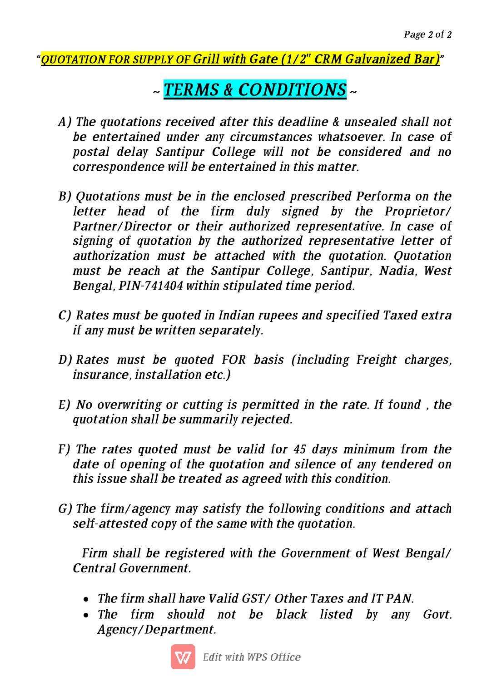## "OUOTATION FOR SUPPLY OF Grill with Gate (1/2" CRM Galvanized Bar)"

## ~ TERMS & CONDITIONS ~

- A) The quotations received after this deadline & unsealed shall not be entertained under any circumstances whatsoever. In case of postal delay Santipur College will not be considered and no correspondence will be entertained in this matter.
- B) Quotations must be in the enclosed prescribed Performa on the letter head of the firm duly signed by the Proprietor/ Partner/Director or their authorized representative. In case of signing of quotation by the authorized representative letter of authorization must be attached with the quotation. Quotation must be reach at the Santipur College, Santipur, Nadia, West Bengal, PIN-741404 within stipulated time period.
- C) Rates must be quoted in Indian rupees and specified Taxed extra if any must be written separately.
- $D)$  Rates must be quoted FOR basis (including Freight charges, insurance, installation etc.)
- E) No overwriting or cutting is permitted in the rate. If found, the quotation shall be summarily rejected.
- F) The rates quoted must be valid for 45 days minimum from the date of opening of the quotation and silence of any tendered on this issue shall be treated as agreed with this condition.
- G) The firm/agency may satisfy the following conditions and attach self-attested copy of the same with the quotation.

Firm shall be registered with the Government of West Bengal/ Central Government.

- The firm shall have Valid GST/ Other Taxes and IT PAN.
- The firm should not be black listed by any Govt. Agency/Department.